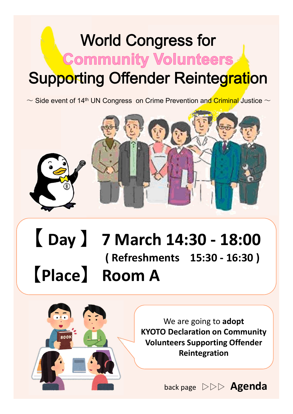## **World Congress for Community Volunteers Supporting Offender Reintegration**

 $\sim$  Side event of 14<sup>th</sup> UN Congress on Crime Prevention and Criminal Justice  $\sim$ 



### 【 **Day** 】 **7 March 14:30 - 18:00 ( Refreshments 15:30 - 16:30 )** 【**Place**】 **Room A**



We are going to **adopt KYOTO Declaration on Community Volunteers Supporting Offender Reintegration**

back page ▷▷▷ **Agenda**